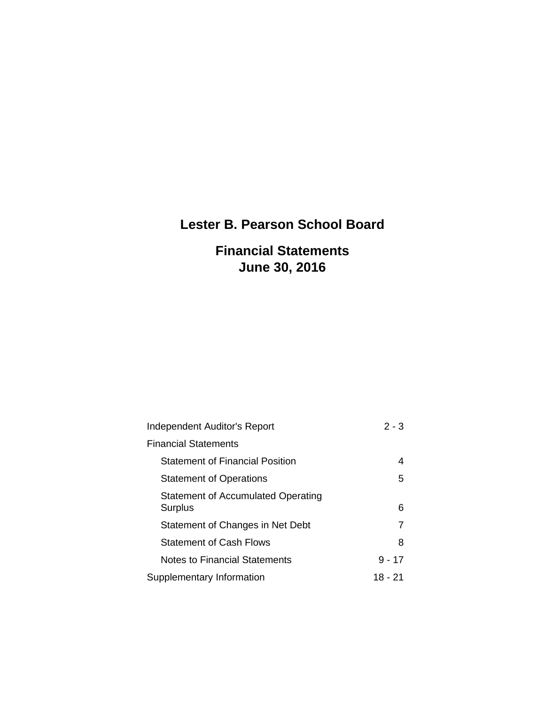# **Lester B. Pearson School Board**

# **Financial Statements June 30, 2016**

| <b>Independent Auditor's Report</b>           | $2 - 3$  |
|-----------------------------------------------|----------|
| <b>Financial Statements</b>                   |          |
| <b>Statement of Financial Position</b>        | 4        |
| <b>Statement of Operations</b>                | 5        |
| Statement of Accumulated Operating<br>Surplus | 6        |
| Statement of Changes in Net Debt              |          |
| <b>Statement of Cash Flows</b>                | 8        |
| Notes to Financial Statements                 | $9 - 17$ |
| Supplementary Information                     | 18 - 21  |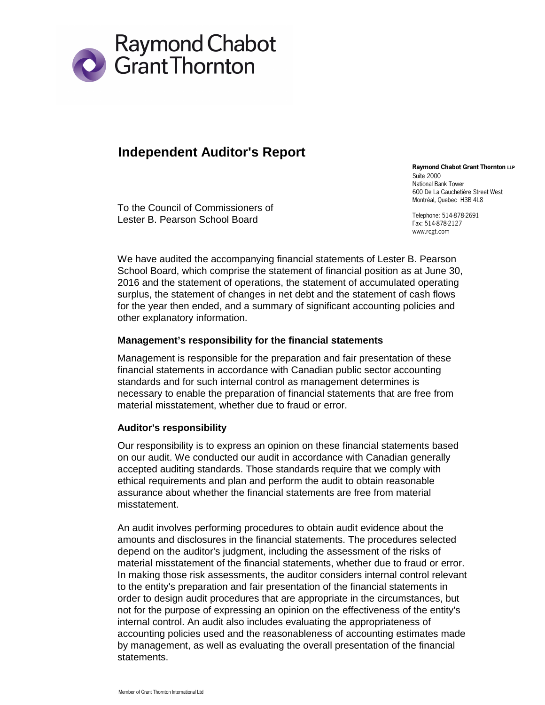

### **Independent Auditor's Report**

To the Council of Commissioners of Lester B. Pearson School Board

**Raymond Chabot Grant Thornton LLP** Suite 2000 National Bank Tower 600 De La Gauchetière Street West Montréal, Quebec H3B 4L8

Telephone: 514-878-2691 Fax: 514-878-2127 www.rcgt.com

We have audited the accompanying financial statements of Lester B. Pearson School Board, which comprise the statement of financial position as at June 30, 2016 and the statement of operations, the statement of accumulated operating surplus, the statement of changes in net debt and the statement of cash flows for the year then ended, and a summary of significant accounting policies and other explanatory information.

#### **Management's responsibility for the financial statements**

Management is responsible for the preparation and fair presentation of these financial statements in accordance with Canadian public sector accounting standards and for such internal control as management determines is necessary to enable the preparation of financial statements that are free from material misstatement, whether due to fraud or error.

#### **Auditor's responsibility**

Our responsibility is to express an opinion on these financial statements based on our audit. We conducted our audit in accordance with Canadian generally accepted auditing standards. Those standards require that we comply with ethical requirements and plan and perform the audit to obtain reasonable assurance about whether the financial statements are free from material misstatement.

An audit involves performing procedures to obtain audit evidence about the amounts and disclosures in the financial statements. The procedures selected depend on the auditor's judgment, including the assessment of the risks of material misstatement of the financial statements, whether due to fraud or error. In making those risk assessments, the auditor considers internal control relevant to the entity's preparation and fair presentation of the financial statements in order to design audit procedures that are appropriate in the circumstances, but not for the purpose of expressing an opinion on the effectiveness of the entity's internal control. An audit also includes evaluating the appropriateness of accounting policies used and the reasonableness of accounting estimates made by management, as well as evaluating the overall presentation of the financial statements.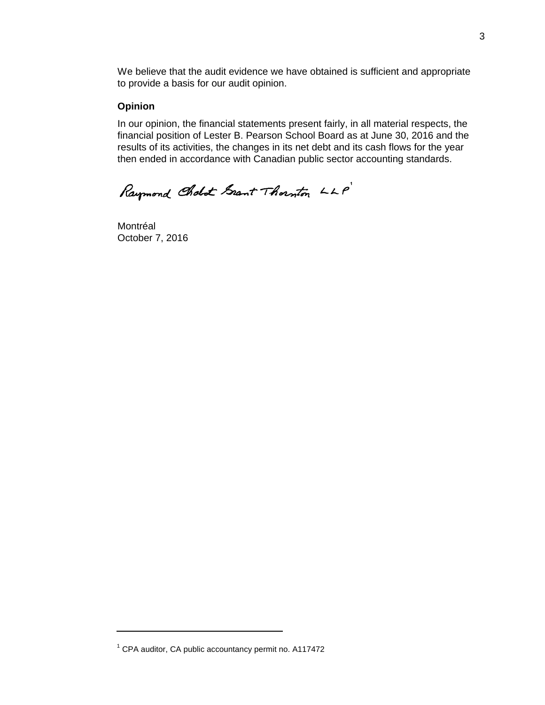We believe that the audit evidence we have obtained is sufficient and appropriate to provide a basis for our audit opinion.

#### **Opinion**

In our opinion, the financial statements present fairly, in all material respects, the financial position of Lester B. Pearson School Board as at June 30, 2016 and the results of its activities, the changes in its net debt and its cash flows for the year then ended in accordance with Canadian public sector accounting standards.

Raymond Cholot Grant Thornton LLP

Montréal October 7, 2016

 $1$  CPA auditor, CA public accountancy permit no. A117472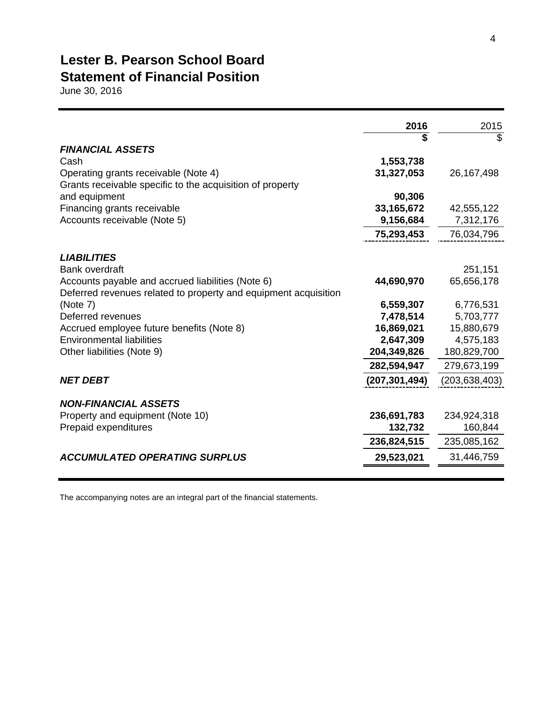### **Lester B. Pearson School Board Statement of Financial Position**

June 30, 2016

|                                                                 | 2016            | 2015            |
|-----------------------------------------------------------------|-----------------|-----------------|
|                                                                 |                 | \$              |
| <b>FINANCIAL ASSETS</b>                                         |                 |                 |
| Cash                                                            | 1,553,738       |                 |
| Operating grants receivable (Note 4)                            | 31,327,053      | 26, 167, 498    |
| Grants receivable specific to the acquisition of property       |                 |                 |
| and equipment                                                   | 90,306          |                 |
| Financing grants receivable                                     | 33, 165, 672    | 42,555,122      |
| Accounts receivable (Note 5)                                    | 9,156,684       | 7,312,176       |
|                                                                 | 75,293,453      | 76,034,796      |
| <b>LIABILITIES</b>                                              |                 |                 |
| <b>Bank overdraft</b>                                           |                 | 251,151         |
| Accounts payable and accrued liabilities (Note 6)               | 44,690,970      | 65,656,178      |
| Deferred revenues related to property and equipment acquisition |                 |                 |
| (Note 7)                                                        | 6,559,307       | 6,776,531       |
| Deferred revenues                                               | 7,478,514       | 5,703,777       |
| Accrued employee future benefits (Note 8)                       | 16,869,021      | 15,880,679      |
| <b>Environmental liabilities</b>                                | 2,647,309       | 4,575,183       |
| Other liabilities (Note 9)                                      | 204,349,826     | 180,829,700     |
|                                                                 | 282,594,947     | 279,673,199     |
| <b>NET DEBT</b>                                                 | (207, 301, 494) | (203, 638, 403) |
| <b>NON-FINANCIAL ASSETS</b>                                     |                 |                 |
| Property and equipment (Note 10)                                | 236,691,783     | 234,924,318     |
| Prepaid expenditures                                            | 132,732         | 160,844         |
|                                                                 | 236,824,515     | 235,085,162     |
| <b>ACCUMULATED OPERATING SURPLUS</b>                            | 29,523,021      | 31,446,759      |
|                                                                 |                 |                 |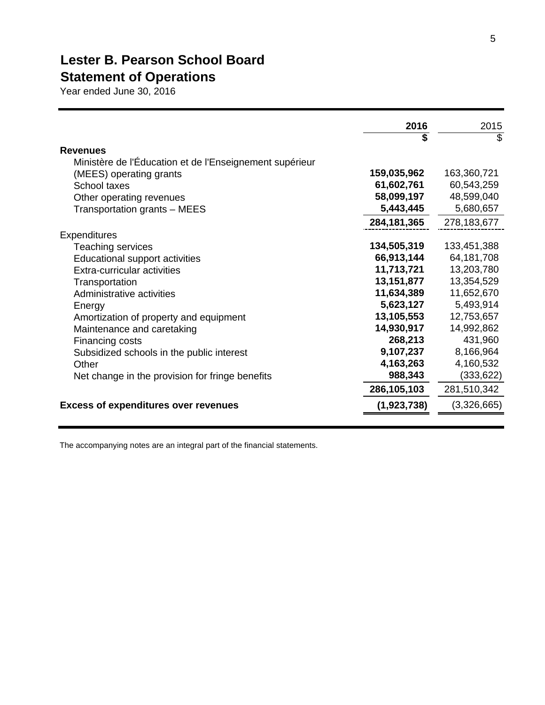# **Lester B. Pearson School Board Statement of Operations**

Year ended June 30, 2016

|                                                         | 2016<br>\$    | 2015<br>\$  |
|---------------------------------------------------------|---------------|-------------|
| <b>Revenues</b>                                         |               |             |
| Ministère de l'Éducation et de l'Enseignement supérieur |               |             |
| (MEES) operating grants                                 | 159,035,962   | 163,360,721 |
| School taxes                                            | 61,602,761    | 60,543,259  |
| Other operating revenues                                | 58,099,197    | 48,599,040  |
| Transportation grants - MEES                            | 5,443,445     | 5,680,657   |
|                                                         | 284, 181, 365 | 278,183,677 |
| <b>Expenditures</b>                                     |               |             |
| Teaching services                                       | 134,505,319   | 133,451,388 |
| Educational support activities                          | 66,913,144    | 64,181,708  |
| Extra-curricular activities                             | 11,713,721    | 13,203,780  |
| Transportation                                          | 13,151,877    | 13,354,529  |
| Administrative activities                               | 11,634,389    | 11,652,670  |
| Energy                                                  | 5,623,127     | 5,493,914   |
| Amortization of property and equipment                  | 13,105,553    | 12,753,657  |
| Maintenance and caretaking                              | 14,930,917    | 14,992,862  |
| Financing costs                                         | 268,213       | 431,960     |
| Subsidized schools in the public interest               | 9,107,237     | 8,166,964   |
| Other                                                   | 4,163,263     | 4,160,532   |
| Net change in the provision for fringe benefits         | 988,343       | (333,622)   |
|                                                         | 286,105,103   | 281,510,342 |
| <b>Excess of expenditures over revenues</b>             | (1,923,738)   | (3,326,665) |
|                                                         |               |             |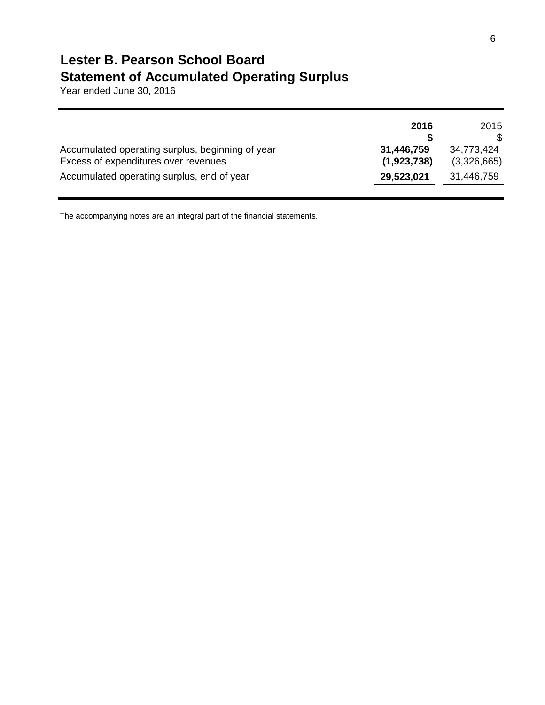### **Lester B. Pearson School Board Statement of Accumulated Operating Surplus**

Year ended June 30, 2016

|                                                  | 2016        | 2015        |
|--------------------------------------------------|-------------|-------------|
|                                                  |             |             |
| Accumulated operating surplus, beginning of year | 31,446,759  | 34,773,424  |
| Excess of expenditures over revenues             | (1,923,738) | (3,326,665) |
| Accumulated operating surplus, end of year       | 29,523,021  | 31,446,759  |
|                                                  |             |             |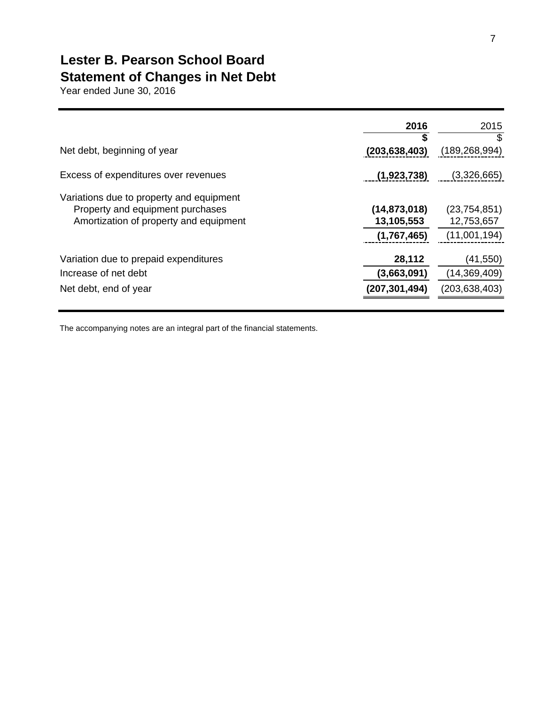# **Lester B. Pearson School Board Statement of Changes in Net Debt**

Year ended June 30, 2016

|                                                                                                                        | 2016<br>S                                   | 2015<br>\$                                   |
|------------------------------------------------------------------------------------------------------------------------|---------------------------------------------|----------------------------------------------|
| Net debt, beginning of year                                                                                            | (203, 638, 403)                             | (189, 268, 994)                              |
| Excess of expenditures over revenues                                                                                   | (1,923,738)                                 | (3,326,665)                                  |
| Variations due to property and equipment<br>Property and equipment purchases<br>Amortization of property and equipment | (14, 873, 018)<br>13,105,553<br>(1,767,465) | (23, 754, 851)<br>12,753,657<br>(11,001,194) |
| Variation due to prepaid expenditures                                                                                  | 28,112                                      | (41, 550)                                    |
| Increase of net debt                                                                                                   | (3,663,091)                                 | (14,369,409)                                 |
| Net debt, end of year                                                                                                  | (207, 301, 494)                             | (203, 638, 403)                              |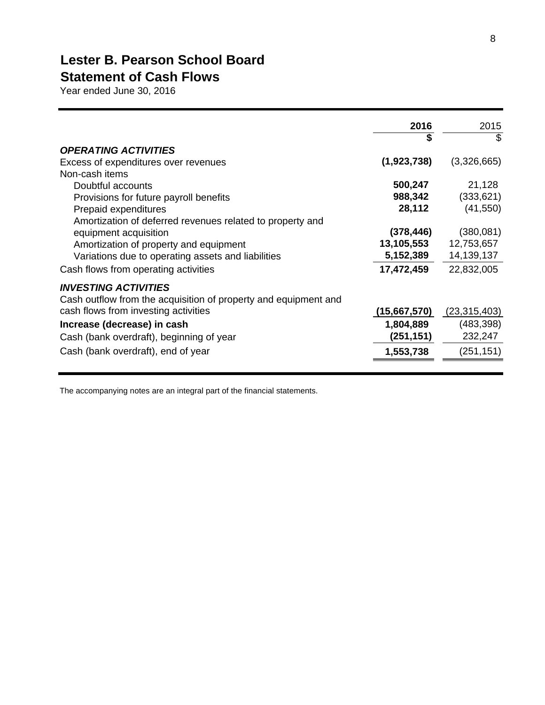# **Lester B. Pearson School Board**

# **Statement of Cash Flows**

Year ended June 30, 2016

|                                                                                                | 2016<br>\$   | 2015<br>\$     |
|------------------------------------------------------------------------------------------------|--------------|----------------|
| <b>OPERATING ACTIVITIES</b>                                                                    |              |                |
| Excess of expenditures over revenues                                                           | (1,923,738)  | (3,326,665)    |
| Non-cash items                                                                                 |              |                |
| Doubtful accounts                                                                              | 500,247      | 21,128         |
| Provisions for future payroll benefits                                                         | 988,342      | (333,621)      |
| Prepaid expenditures                                                                           | 28,112       | (41, 550)      |
| Amortization of deferred revenues related to property and                                      |              |                |
| equipment acquisition                                                                          | (378, 446)   | (380, 081)     |
| Amortization of property and equipment                                                         | 13,105,553   | 12,753,657     |
| Variations due to operating assets and liabilities                                             | 5,152,389    | 14, 139, 137   |
| Cash flows from operating activities                                                           | 17,472,459   | 22,832,005     |
| <b>INVESTING ACTIVITIES</b><br>Cash outflow from the acquisition of property and equipment and |              |                |
| cash flows from investing activities                                                           | (15,667,570) | (23, 315, 403) |
| Increase (decrease) in cash                                                                    | 1,804,889    | (483, 398)     |
| Cash (bank overdraft), beginning of year                                                       | (251, 151)   | 232,247        |
| Cash (bank overdraft), end of year                                                             | 1,553,738    | (251, 151)     |
|                                                                                                |              |                |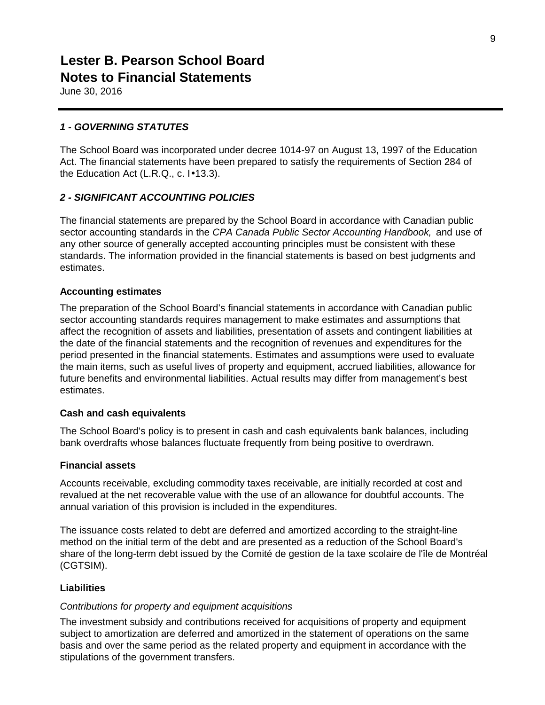June 30, 2016

#### *1 - GOVERNING STATUTES*

The School Board was incorporated under decree 1014-97 on August 13, 1997 of the Education Act. The financial statements have been prepared to satisfy the requirements of Section 284 of the Education Act (L.R.Q., c. I•13.3).

#### *2 - SIGNIFICANT ACCOUNTING POLICIES*

The financial statements are prepared by the School Board in accordance with Canadian public sector accounting standards in the *CPA Canada Public Sector Accounting Handbook,* and use of any other source of generally accepted accounting principles must be consistent with these standards. The information provided in the financial statements is based on best judgments and estimates.

#### **Accounting estimates**

The preparation of the School Board's financial statements in accordance with Canadian public sector accounting standards requires management to make estimates and assumptions that affect the recognition of assets and liabilities, presentation of assets and contingent liabilities at the date of the financial statements and the recognition of revenues and expenditures for the period presented in the financial statements. Estimates and assumptions were used to evaluate the main items, such as useful lives of property and equipment, accrued liabilities, allowance for future benefits and environmental liabilities. Actual results may differ from management's best estimates.

#### **Cash and cash equivalents**

The School Board's policy is to present in cash and cash equivalents bank balances, including bank overdrafts whose balances fluctuate frequently from being positive to overdrawn.

#### **Financial assets**

Accounts receivable, excluding commodity taxes receivable, are initially recorded at cost and revalued at the net recoverable value with the use of an allowance for doubtful accounts. The annual variation of this provision is included in the expenditures.

The issuance costs related to debt are deferred and amortized according to the straight-line method on the initial term of the debt and are presented as a reduction of the School Board's share of the long-term debt issued by the Comité de gestion de la taxe scolaire de l'île de Montréal (CGTSIM).

#### **Liabilities**

#### *Contributions for property and equipment acquisitions*

The investment subsidy and contributions received for acquisitions of property and equipment subject to amortization are deferred and amortized in the statement of operations on the same basis and over the same period as the related property and equipment in accordance with the stipulations of the government transfers.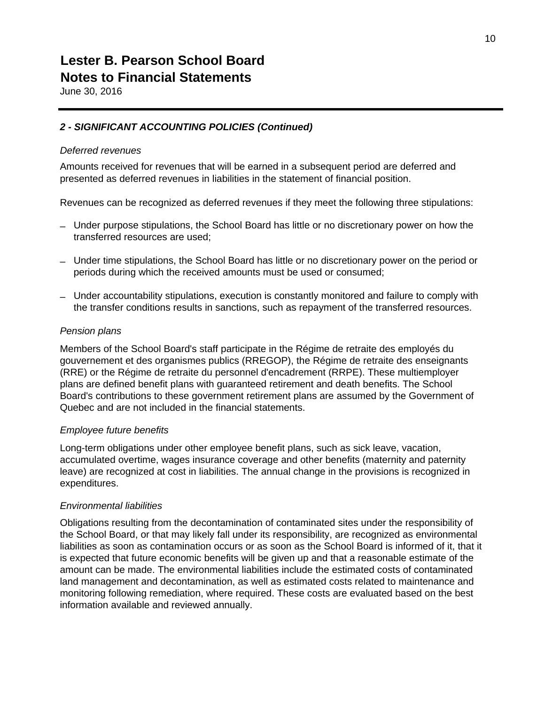June 30, 2016

#### *2 - SIGNIFICANT ACCOUNTING POLICIES (Continued)*

#### *Deferred revenues*

Amounts received for revenues that will be earned in a subsequent period are deferred and presented as deferred revenues in liabilities in the statement of financial position.

Revenues can be recognized as deferred revenues if they meet the following three stipulations:

- Under purpose stipulations, the School Board has little or no discretionary power on how the transferred resources are used;
- Under time stipulations, the School Board has little or no discretionary power on the period or periods during which the received amounts must be used or consumed;
- Under accountability stipulations, execution is constantly monitored and failure to comply with the transfer conditions results in sanctions, such as repayment of the transferred resources.

#### *Pension plans*

Members of the School Board's staff participate in the Régime de retraite des employés du gouvernement et des organismes publics (RREGOP), the Régime de retraite des enseignants (RRE) or the Régime de retraite du personnel d'encadrement (RRPE). These multiemployer plans are defined benefit plans with guaranteed retirement and death benefits. The School Board's contributions to these government retirement plans are assumed by the Government of Quebec and are not included in the financial statements.

#### *Employee future benefits*

Long-term obligations under other employee benefit plans, such as sick leave, vacation, accumulated overtime, wages insurance coverage and other benefits (maternity and paternity leave) are recognized at cost in liabilities. The annual change in the provisions is recognized in expenditures.

#### *Environmental liabilities*

Obligations resulting from the decontamination of contaminated sites under the responsibility of the School Board, or that may likely fall under its responsibility, are recognized as environmental liabilities as soon as contamination occurs or as soon as the School Board is informed of it, that it is expected that future economic benefits will be given up and that a reasonable estimate of the amount can be made. The environmental liabilities include the estimated costs of contaminated land management and decontamination, as well as estimated costs related to maintenance and monitoring following remediation, where required. These costs are evaluated based on the best information available and reviewed annually.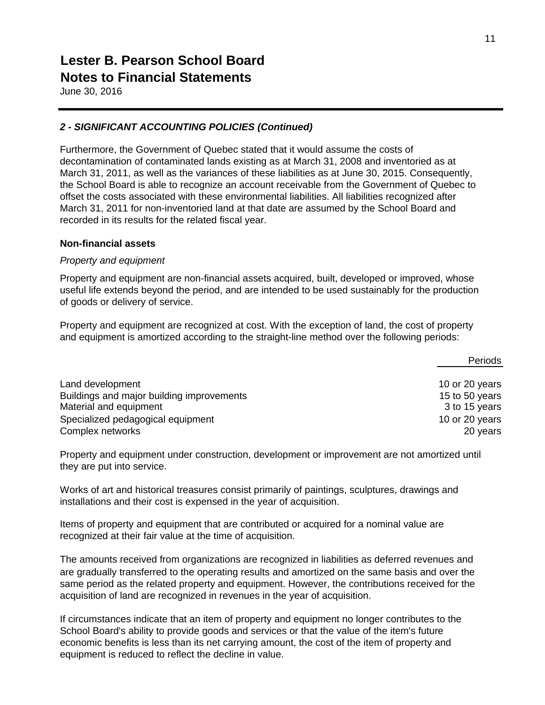June 30, 2016

#### *2 - SIGNIFICANT ACCOUNTING POLICIES (Continued)*

Furthermore, the Government of Quebec stated that it would assume the costs of decontamination of contaminated lands existing as at March 31, 2008 and inventoried as at March 31, 2011, as well as the variances of these liabilities as at June 30, 2015. Consequently, the School Board is able to recognize an account receivable from the Government of Quebec to offset the costs associated with these environmental liabilities. All liabilities recognized after March 31, 2011 for non-inventoried land at that date are assumed by the School Board and recorded in its results for the related fiscal year.

#### **Non-financial assets**

#### *Property and equipment*

Property and equipment are non-financial assets acquired, built, developed or improved, whose useful life extends beyond the period, and are intended to be used sustainably for the production of goods or delivery of service.

Property and equipment are recognized at cost. With the exception of land, the cost of property and equipment is amortized according to the straight-line method over the following periods:

|                                           | Periods        |
|-------------------------------------------|----------------|
| Land development                          | 10 or 20 years |
| Buildings and major building improvements | 15 to 50 years |
| Material and equipment                    | 3 to 15 years  |
| Specialized pedagogical equipment         | 10 or 20 years |
| Complex networks                          | 20 years       |

Property and equipment under construction, development or improvement are not amortized until they are put into service.

Works of art and historical treasures consist primarily of paintings, sculptures, drawings and installations and their cost is expensed in the year of acquisition.

Items of property and equipment that are contributed or acquired for a nominal value are recognized at their fair value at the time of acquisition.

The amounts received from organizations are recognized in liabilities as deferred revenues and are gradually transferred to the operating results and amortized on the same basis and over the same period as the related property and equipment. However, the contributions received for the acquisition of land are recognized in revenues in the year of acquisition.

If circumstances indicate that an item of property and equipment no longer contributes to the School Board's ability to provide goods and services or that the value of the item's future economic benefits is less than its net carrying amount, the cost of the item of property and equipment is reduced to reflect the decline in value.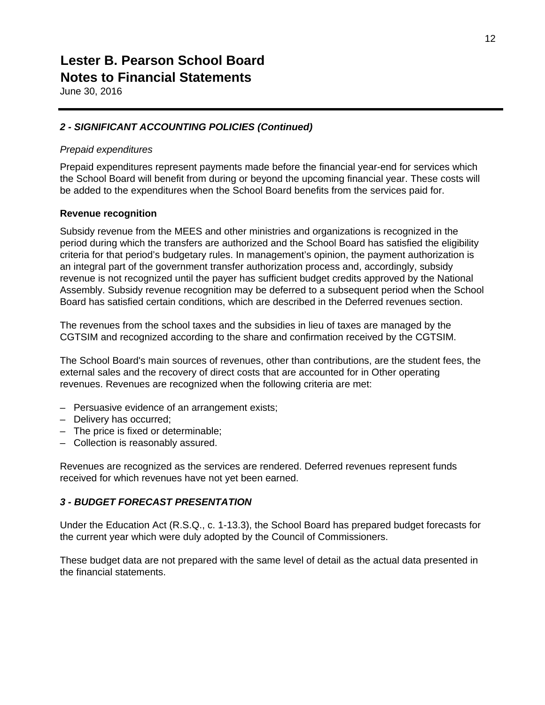June 30, 2016

#### *2 - SIGNIFICANT ACCOUNTING POLICIES (Continued)*

#### *Prepaid expenditures*

Prepaid expenditures represent payments made before the financial year-end for services which the School Board will benefit from during or beyond the upcoming financial year. These costs will be added to the expenditures when the School Board benefits from the services paid for.

#### **Revenue recognition**

Subsidy revenue from the MEES and other ministries and organizations is recognized in the period during which the transfers are authorized and the School Board has satisfied the eligibility criteria for that period's budgetary rules. In management's opinion, the payment authorization is an integral part of the government transfer authorization process and, accordingly, subsidy revenue is not recognized until the payer has sufficient budget credits approved by the National Assembly. Subsidy revenue recognition may be deferred to a subsequent period when the School Board has satisfied certain conditions, which are described in the Deferred revenues section.

The revenues from the school taxes and the subsidies in lieu of taxes are managed by the CGTSIM and recognized according to the share and confirmation received by the CGTSIM.

The School Board's main sources of revenues, other than contributions, are the student fees, the external sales and the recovery of direct costs that are accounted for in Other operating revenues. Revenues are recognized when the following criteria are met:

- Persuasive evidence of an arrangement exists;
- Delivery has occurred;
- The price is fixed or determinable;
- Collection is reasonably assured.

Revenues are recognized as the services are rendered. Deferred revenues represent funds received for which revenues have not yet been earned.

#### *3 - BUDGET FORECAST PRESENTATION*

Under the Education Act (R.S.Q., c. 1-13.3), the School Board has prepared budget forecasts for the current year which were duly adopted by the Council of Commissioners.

These budget data are not prepared with the same level of detail as the actual data presented in the financial statements.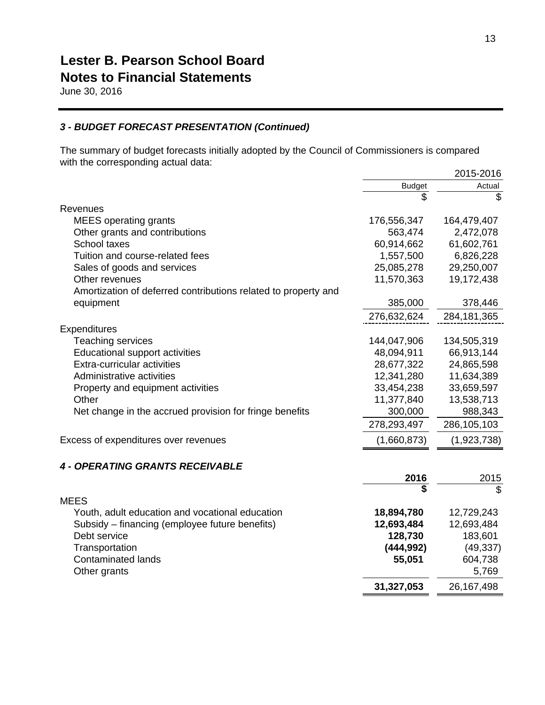June 30, 2016

#### *3 - BUDGET FORECAST PRESENTATION (Continued)*

The summary of budget forecasts initially adopted by the Council of Commissioners is compared with the corresponding actual data:

|                                                                |               | 2015-2016     |
|----------------------------------------------------------------|---------------|---------------|
|                                                                | <b>Budget</b> | Actual        |
|                                                                | \$            | \$            |
| Revenues                                                       |               |               |
| <b>MEES</b> operating grants                                   | 176,556,347   | 164,479,407   |
| Other grants and contributions                                 | 563,474       | 2,472,078     |
| School taxes                                                   | 60,914,662    | 61,602,761    |
| Tuition and course-related fees                                | 1,557,500     | 6,826,228     |
| Sales of goods and services                                    | 25,085,278    | 29,250,007    |
| Other revenues                                                 | 11,570,363    | 19,172,438    |
| Amortization of deferred contributions related to property and |               |               |
| equipment                                                      | 385,000       | 378,446       |
|                                                                | 276,632,624   | 284, 181, 365 |
| Expenditures                                                   |               |               |
| Teaching services                                              | 144,047,906   | 134,505,319   |
| Educational support activities                                 | 48,094,911    | 66,913,144    |
| Extra-curricular activities                                    | 28,677,322    | 24,865,598    |
| Administrative activities                                      | 12,341,280    | 11,634,389    |
| Property and equipment activities                              | 33,454,238    | 33,659,597    |
| Other                                                          | 11,377,840    | 13,538,713    |
| Net change in the accrued provision for fringe benefits        | 300,000       | 988,343       |
|                                                                | 278,293,497   | 286,105,103   |
| Excess of expenditures over revenues                           | (1,660,873)   | (1,923,738)   |
| <b>4 - OPERATING GRANTS RECEIVABLE</b>                         |               |               |
|                                                                | 2016          | 2015          |
| <b>MEES</b>                                                    | \$            | \$            |
| Youth, adult education and vocational education                | 18,894,780    | 12,729,243    |
| Subsidy – financing (employee future benefits)                 | 12,693,484    | 12,693,484    |
| Debt service                                                   | 128,730       | 183,601       |
| Transportation                                                 | (444, 992)    | (49, 337)     |
| <b>Contaminated lands</b>                                      | 55,051        | 604,738       |
| Other grants                                                   |               | 5,769         |
|                                                                | 31,327,053    | 26, 167, 498  |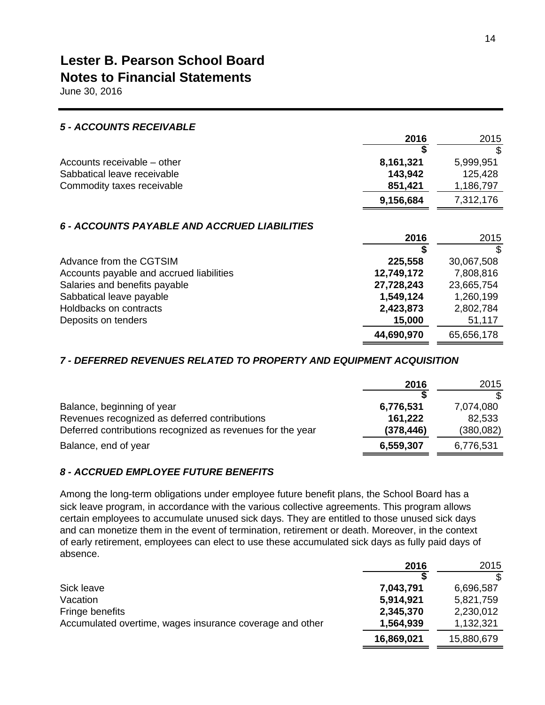June 30, 2016

| <b>5 - ACCOUNTS RECEIVABLE</b>               |            |            |
|----------------------------------------------|------------|------------|
|                                              | 2016       | 2015       |
|                                              |            | \$         |
| Accounts receivable – other                  | 8,161,321  | 5,999,951  |
| Sabbatical leave receivable                  | 143,942    | 125,428    |
| Commodity taxes receivable                   | 851,421    | 1,186,797  |
|                                              | 9,156,684  | 7,312,176  |
| 6 - ACCOUNTS PAYABLE AND ACCRUED LIABILITIES | 2016       | 2015       |
|                                              |            | \$         |
| Advance from the CGTSIM                      | 225,558    | 30,067,508 |
| Accounts payable and accrued liabilities     | 12,749,172 | 7,808,816  |
| Salaries and benefits payable                | 27,728,243 | 23,665,754 |
| Sabbatical leave payable                     | 1,549,124  | 1,260,199  |
| Holdbacks on contracts                       | 2,423,873  | 2,802,784  |
| Deposits on tenders                          | 15,000     | 51,117     |
|                                              | 44,690,970 | 65,656,178 |

#### *7 - DEFERRED REVENUES RELATED TO PROPERTY AND EQUIPMENT ACQUISITION*

|                                                            | 2016       | 2015       |
|------------------------------------------------------------|------------|------------|
|                                                            |            |            |
| Balance, beginning of year                                 | 6,776,531  | 7,074,080  |
| Revenues recognized as deferred contributions              | 161,222    | 82,533     |
| Deferred contributions recognized as revenues for the year | (378, 446) | (380, 082) |
| Balance, end of year                                       | 6,559,307  | 6,776,531  |

#### *8 - ACCRUED EMPLOYEE FUTURE BENEFITS*

Among the long-term obligations under employee future benefit plans, the School Board has a sick leave program, in accordance with the various collective agreements. This program allows certain employees to accumulate unused sick days. They are entitled to those unused sick days and can monetize them in the event of termination, retirement or death. Moreover, in the context of early retirement, employees can elect to use these accumulated sick days as fully paid days of absence.

|                                                          | 2016       | 2015       |
|----------------------------------------------------------|------------|------------|
|                                                          |            |            |
| Sick leave                                               | 7,043,791  | 6,696,587  |
| Vacation                                                 | 5,914,921  | 5,821,759  |
| Fringe benefits                                          | 2,345,370  | 2,230,012  |
| Accumulated overtime, wages insurance coverage and other | 1,564,939  | 1,132,321  |
|                                                          | 16,869,021 | 15,880,679 |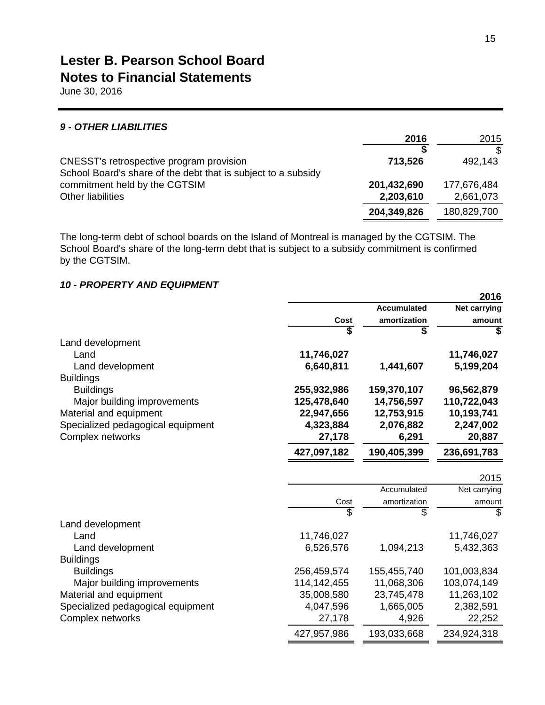June 30, 2016

#### *9 - OTHER LIABILITIES*

|                                                               | 2016        | 2015        |
|---------------------------------------------------------------|-------------|-------------|
|                                                               |             | \$          |
| CNESST's retrospective program provision                      | 713,526     | 492,143     |
| School Board's share of the debt that is subject to a subsidy |             |             |
| commitment held by the CGTSIM                                 | 201,432,690 | 177,676,484 |
| Other liabilities                                             | 2,203,610   | 2,661,073   |
|                                                               | 204,349,826 | 180,829,700 |

The long-term debt of school boards on the Island of Montreal is managed by the CGTSIM. The School Board's share of the long-term debt that is subject to a subsidy commitment is confirmed by the CGTSIM.

#### *10 - PROPERTY AND EQUIPMENT*

|                                   |               |                    | 2016                |
|-----------------------------------|---------------|--------------------|---------------------|
|                                   |               | <b>Accumulated</b> | <b>Net carrying</b> |
|                                   | Cost          | amortization       | amount              |
|                                   |               | \$                 | \$                  |
| Land development                  |               |                    |                     |
| Land                              | 11,746,027    |                    | 11,746,027          |
| Land development                  | 6,640,811     | 1,441,607          | 5,199,204           |
| <b>Buildings</b>                  |               |                    |                     |
| <b>Buildings</b>                  | 255,932,986   | 159,370,107        | 96,562,879          |
| Major building improvements       | 125,478,640   | 14,756,597         | 110,722,043         |
| Material and equipment            | 22,947,656    | 12,753,915         | 10,193,741          |
| Specialized pedagogical equipment | 4,323,884     | 2,076,882          | 2,247,002           |
| Complex networks                  | 27,178        | 6,291              | 20,887              |
|                                   | 427,097,182   | 190,405,399        | 236,691,783         |
|                                   |               |                    | 2015                |
|                                   |               | Accumulated        | Net carrying        |
|                                   | Cost          | amortization       | amount              |
|                                   | \$            | \$                 | \$                  |
| Land development                  |               |                    |                     |
| Land                              | 11,746,027    |                    | 11,746,027          |
| Land development                  | 6,526,576     | 1,094,213          | 5,432,363           |
| <b>Buildings</b>                  |               |                    |                     |
| <b>Buildings</b>                  | 256,459,574   | 155,455,740        | 101,003,834         |
| Major building improvements       | 114, 142, 455 | 11,068,306         | 103,074,149         |
| Material and equipment            | 35,008,580    | 23,745,478         | 11,263,102          |
| Specialized pedagogical equipment | 4,047,596     | 1,665,005          | 2,382,591           |
| Complex networks                  | 27,178        | 4,926              | 22,252              |
|                                   | 427,957,986   | 193,033,668        | 234,924,318         |

**2016**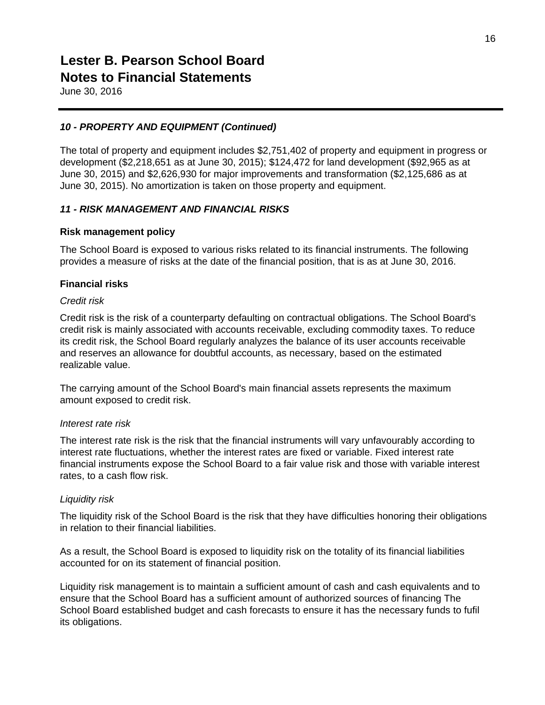June 30, 2016

#### *10 - PROPERTY AND EQUIPMENT (Continued)*

The total of property and equipment includes \$2,751,402 of property and equipment in progress or development (\$2,218,651 as at June 30, 2015); \$124,472 for land development (\$92,965 as at June 30, 2015) and \$2,626,930 for major improvements and transformation (\$2,125,686 as at June 30, 2015). No amortization is taken on those property and equipment.

#### *11 - RISK MANAGEMENT AND FINANCIAL RISKS*

#### **Risk management policy**

The School Board is exposed to various risks related to its financial instruments. The following provides a measure of risks at the date of the financial position, that is as at June 30, 2016.

#### **Financial risks**

#### *Credit risk*

Credit risk is the risk of a counterparty defaulting on contractual obligations. The School Board's credit risk is mainly associated with accounts receivable, excluding commodity taxes. To reduce its credit risk, the School Board regularly analyzes the balance of its user accounts receivable and reserves an allowance for doubtful accounts, as necessary, based on the estimated realizable value.

The carrying amount of the School Board's main financial assets represents the maximum amount exposed to credit risk.

#### *Interest rate risk*

The interest rate risk is the risk that the financial instruments will vary unfavourably according to interest rate fluctuations, whether the interest rates are fixed or variable. Fixed interest rate financial instruments expose the School Board to a fair value risk and those with variable interest rates, to a cash flow risk.

#### *Liquidity risk*

The liquidity risk of the School Board is the risk that they have difficulties honoring their obligations in relation to their financial liabilities.

As a result, the School Board is exposed to liquidity risk on the totality of its financial liabilities accounted for on its statement of financial position.

Liquidity risk management is to maintain a sufficient amount of cash and cash equivalents and to ensure that the School Board has a sufficient amount of authorized sources of financing The School Board established budget and cash forecasts to ensure it has the necessary funds to fufil its obligations.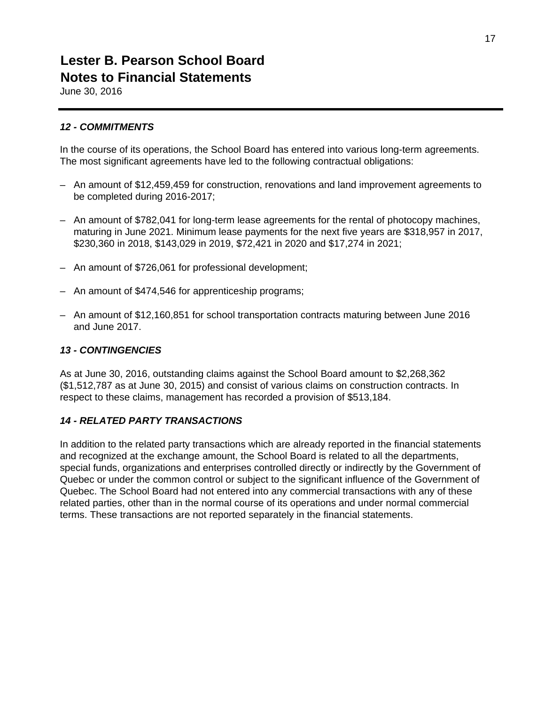June 30, 2016

#### *12 - COMMITMENTS*

In the course of its operations, the School Board has entered into various long-term agreements. The most significant agreements have led to the following contractual obligations:

- An amount of \$12,459,459 for construction, renovations and land improvement agreements to be completed during 2016-2017;
- An amount of \$782,041 for long-term lease agreements for the rental of photocopy machines, maturing in June 2021. Minimum lease payments for the next five years are \$318,957 in 2017, \$230,360 in 2018, \$143,029 in 2019, \$72,421 in 2020 and \$17,274 in 2021;
- An amount of \$726,061 for professional development;
- An amount of \$474,546 for apprenticeship programs;
- An amount of \$12,160,851 for school transportation contracts maturing between June 2016 and June 2017.

#### *13 - CONTINGENCIES*

As at June 30, 2016, outstanding claims against the School Board amount to \$2,268,362 (\$1,512,787 as at June 30, 2015) and consist of various claims on construction contracts. In respect to these claims, management has recorded a provision of \$513,184.

#### *14 - RELATED PARTY TRANSACTIONS*

In addition to the related party transactions which are already reported in the financial statements and recognized at the exchange amount, the School Board is related to all the departments, special funds, organizations and enterprises controlled directly or indirectly by the Government of Quebec or under the common control or subject to the significant influence of the Government of Quebec. The School Board had not entered into any commercial transactions with any of these related parties, other than in the normal course of its operations and under normal commercial terms. These transactions are not reported separately in the financial statements.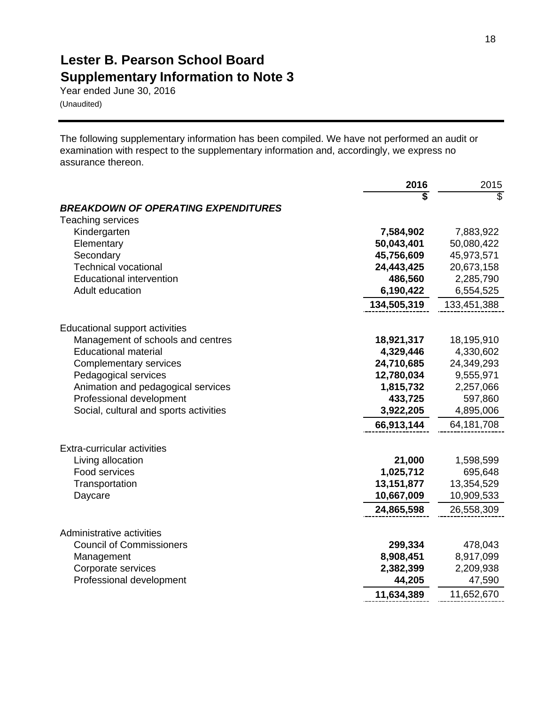# **Lester B. Pearson School Board Supplementary Information to Note 3**

Year ended June 30, 2016 (Unaudited)

The following supplementary information has been compiled. We have not performed an audit or examination with respect to the supplementary information and, accordingly, we express no assurance thereon.

|                                            | 2016         | 2015        |
|--------------------------------------------|--------------|-------------|
|                                            |              | S           |
| <b>BREAKDOWN OF OPERATING EXPENDITURES</b> |              |             |
| <b>Teaching services</b>                   |              |             |
| Kindergarten                               | 7,584,902    | 7,883,922   |
| Elementary                                 | 50,043,401   | 50,080,422  |
| Secondary                                  | 45,756,609   | 45,973,571  |
| <b>Technical vocational</b>                | 24,443,425   | 20,673,158  |
| <b>Educational intervention</b>            | 486,560      | 2,285,790   |
| Adult education                            | 6,190,422    | 6,554,525   |
|                                            | 134,505,319  | 133,451,388 |
| <b>Educational support activities</b>      |              |             |
| Management of schools and centres          | 18,921,317   | 18,195,910  |
| <b>Educational material</b>                | 4,329,446    | 4,330,602   |
| <b>Complementary services</b>              | 24,710,685   | 24,349,293  |
| Pedagogical services                       | 12,780,034   | 9,555,971   |
| Animation and pedagogical services         | 1,815,732    | 2,257,066   |
| Professional development                   | 433,725      | 597,860     |
| Social, cultural and sports activities     | 3,922,205    | 4,895,006   |
|                                            | 66,913,144   | 64,181,708  |
| Extra-curricular activities                |              |             |
| Living allocation                          | 21,000       | 1,598,599   |
| Food services                              | 1,025,712    | 695,648     |
| Transportation                             | 13, 151, 877 | 13,354,529  |
| Daycare                                    | 10,667,009   | 10,909,533  |
|                                            | 24,865,598   | 26,558,309  |
| Administrative activities                  |              |             |
| <b>Council of Commissioners</b>            | 299,334      | 478,043     |
| Management                                 | 8,908,451    | 8,917,099   |
| Corporate services                         | 2,382,399    | 2,209,938   |
| Professional development                   | 44,205       | 47,590      |
|                                            | 11,634,389   | 11,652,670  |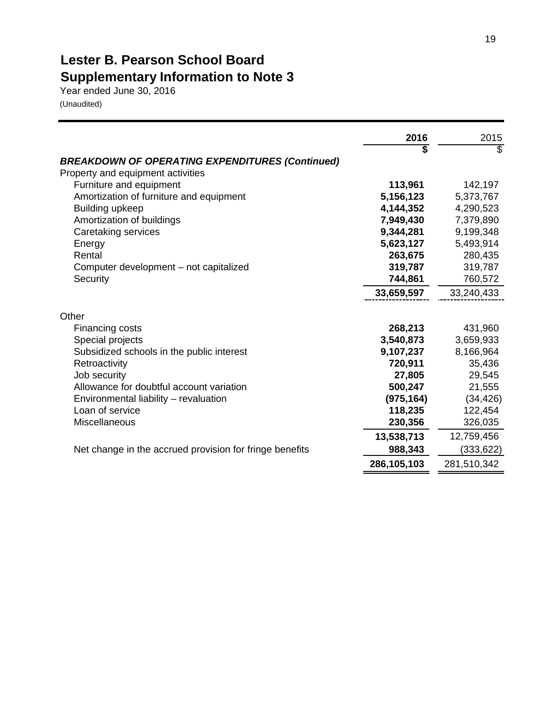# **Lester B. Pearson School Board Supplementary Information to Note 3**

Year ended June 30, 2016 (Unaudited)

|                                                                                             | 2016        | 2015        |
|---------------------------------------------------------------------------------------------|-------------|-------------|
| <b>BREAKDOWN OF OPERATING EXPENDITURES (Continued)</b><br>Property and equipment activities | \$          | \$          |
| Furniture and equipment                                                                     | 113,961     | 142,197     |
| Amortization of furniture and equipment                                                     | 5,156,123   | 5,373,767   |
| <b>Building upkeep</b>                                                                      | 4,144,352   | 4,290,523   |
| Amortization of buildings                                                                   | 7,949,430   | 7,379,890   |
| Caretaking services                                                                         | 9,344,281   | 9,199,348   |
| Energy                                                                                      | 5,623,127   | 5,493,914   |
| Rental                                                                                      | 263,675     | 280,435     |
| Computer development – not capitalized                                                      | 319,787     | 319,787     |
| Security                                                                                    | 744,861     | 760,572     |
|                                                                                             | 33,659,597  | 33,240,433  |
| Other                                                                                       |             |             |
| Financing costs                                                                             | 268,213     | 431,960     |
| Special projects                                                                            | 3,540,873   | 3,659,933   |
| Subsidized schools in the public interest                                                   | 9,107,237   | 8,166,964   |
| Retroactivity                                                                               | 720,911     | 35,436      |
| Job security                                                                                | 27,805      | 29,545      |
| Allowance for doubtful account variation                                                    | 500,247     | 21,555      |
| Environmental liability - revaluation                                                       | (975, 164)  | (34, 426)   |
| Loan of service                                                                             | 118,235     | 122,454     |
| Miscellaneous                                                                               | 230,356     | 326,035     |
|                                                                                             | 13,538,713  | 12,759,456  |
| Net change in the accrued provision for fringe benefits                                     | 988,343     | (333, 622)  |
|                                                                                             | 286,105,103 | 281,510,342 |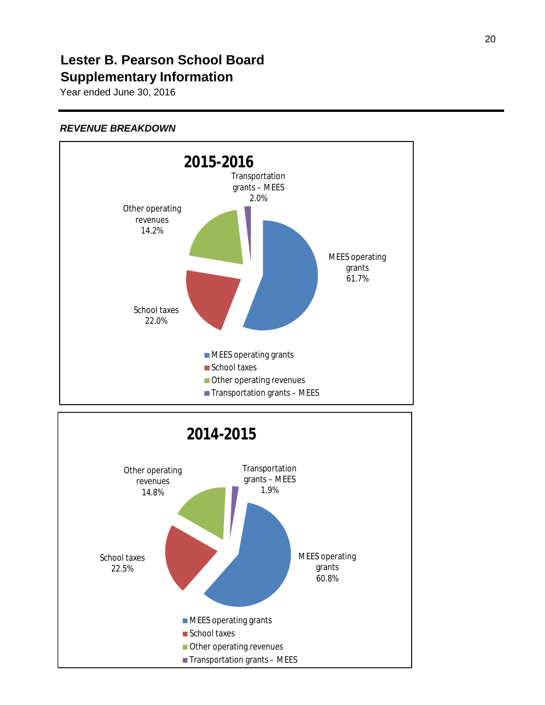### **Lester B. Pearson School Board Supplementary Information**

Year ended June 30, 2016

#### *REVENUE BREAKDOWN*